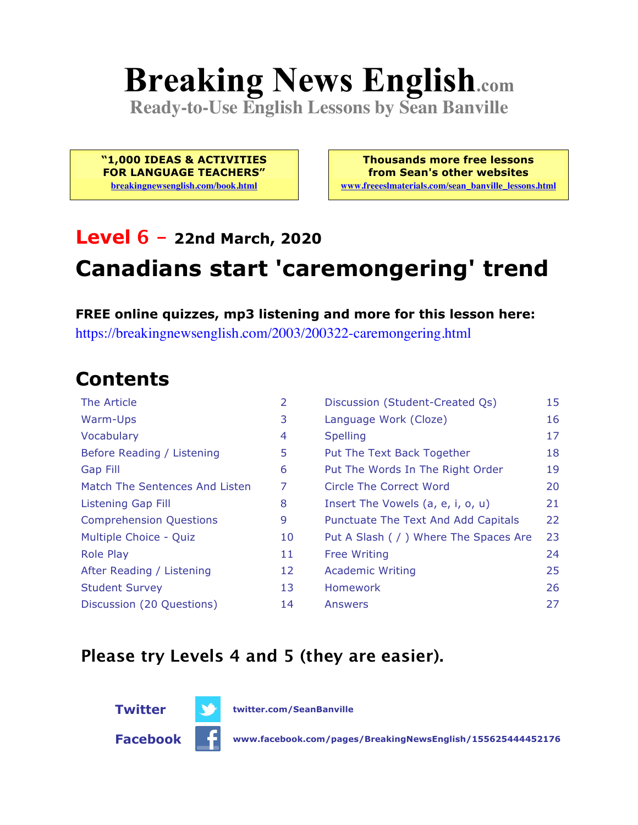# **Breaking News English.com**

**Ready-to-Use English Lessons by Sean Banville**

**"1,000 IDEAS & ACTIVITIES FOR LANGUAGE TEACHERS" breakingnewsenglish.com/book.html**

**Thousands more free lessons from Sean's other websites www.freeeslmaterials.com/sean\_banville\_lessons.html**

### **Level 6 - 22nd March, 2020**

## **Canadians start 'caremongering' trend**

**FREE online quizzes, mp3 listening and more for this lesson here:** https://breakingnewsenglish.com/2003/200322-caremongering.html

#### **Contents**

| <b>The Article</b>             | $\overline{2}$ | Discussion (Student-Created Qs)        | 15 |
|--------------------------------|----------------|----------------------------------------|----|
| Warm-Ups                       | 3              | Language Work (Cloze)                  | 16 |
| Vocabulary                     | 4              | <b>Spelling</b>                        | 17 |
| Before Reading / Listening     | 5              | Put The Text Back Together             | 18 |
| <b>Gap Fill</b>                | 6              | Put The Words In The Right Order       | 19 |
| Match The Sentences And Listen | 7              | Circle The Correct Word                | 20 |
| <b>Listening Gap Fill</b>      | 8              | Insert The Vowels (a, e, i, o, u)      | 21 |
| <b>Comprehension Questions</b> | 9              | Punctuate The Text And Add Capitals    | 22 |
| Multiple Choice - Quiz         | 10             | Put A Slash ( / ) Where The Spaces Are | 23 |
| <b>Role Play</b>               | 11             | <b>Free Writing</b>                    | 24 |
| After Reading / Listening      | 12             | <b>Academic Writing</b>                | 25 |
| <b>Student Survey</b>          | 13             | <b>Homework</b>                        | 26 |
| Discussion (20 Questions)      | 14             | Answers                                | 27 |

#### **Please try Levels 4 and 5 (they are easier).**





**Facebook www.facebook.com/pages/BreakingNewsEnglish/155625444452176**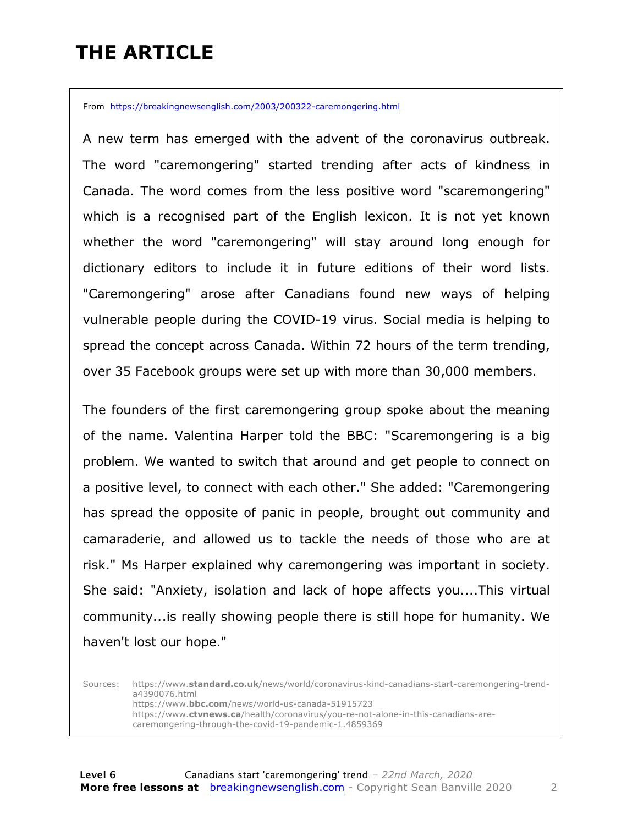### **THE ARTICLE**

From https://breakingnewsenglish.com/2003/200322-caremongering.html

A new term has emerged with the advent of the coronavirus outbreak. The word "caremongering" started trending after acts of kindness in Canada. The word comes from the less positive word "scaremongering" which is a recognised part of the English lexicon. It is not yet known whether the word "caremongering" will stay around long enough for dictionary editors to include it in future editions of their word lists. "Caremongering" arose after Canadians found new ways of helping vulnerable people during the COVID-19 virus. Social media is helping to spread the concept across Canada. Within 72 hours of the term trending, over 35 Facebook groups were set up with more than 30,000 members.

The founders of the first caremongering group spoke about the meaning of the name. Valentina Harper told the BBC: "Scaremongering is a big problem. We wanted to switch that around and get people to connect on a positive level, to connect with each other." She added: "Caremongering has spread the opposite of panic in people, brought out community and camaraderie, and allowed us to tackle the needs of those who are at risk." Ms Harper explained why caremongering was important in society. She said: "Anxiety, isolation and lack of hope affects you....This virtual community...is really showing people there is still hope for humanity. We haven't lost our hope."

Sources: https://www.**standard.co.uk**/news/world/coronavirus-kind-canadians-start-caremongering-trenda4390076.html https://www.**bbc.com**/news/world-us-canada-51915723 https://www.**ctvnews.ca**/health/coronavirus/you-re-not-alone-in-this-canadians-arecaremongering-through-the-covid-19-pandemic-1.4859369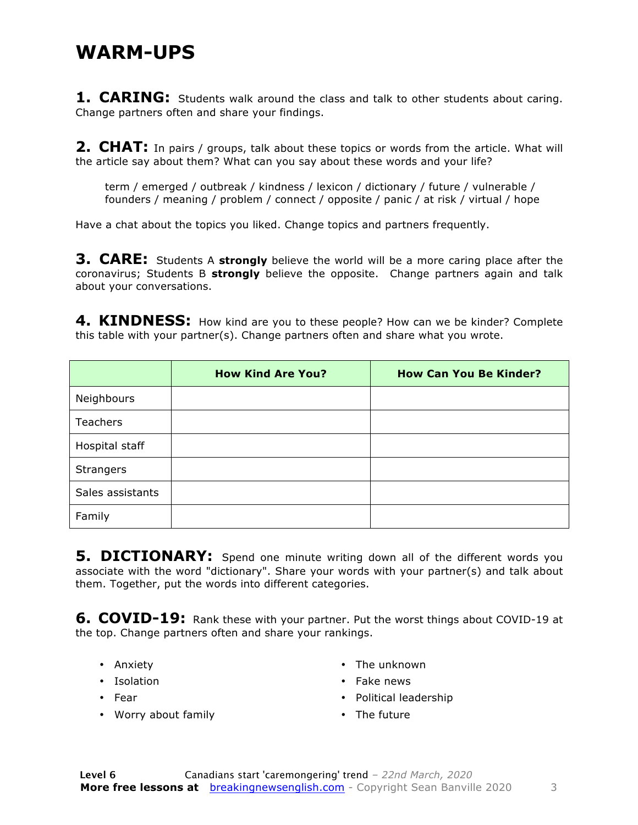#### **WARM-UPS**

**1. CARING:** Students walk around the class and talk to other students about caring. Change partners often and share your findings.

**2. CHAT:** In pairs / groups, talk about these topics or words from the article. What will the article say about them? What can you say about these words and your life?

term / emerged / outbreak / kindness / lexicon / dictionary / future / vulnerable / founders / meaning / problem / connect / opposite / panic / at risk / virtual / hope

Have a chat about the topics you liked. Change topics and partners frequently.

**3. CARE:** Students A **strongly** believe the world will be a more caring place after the coronavirus; Students B **strongly** believe the opposite. Change partners again and talk about your conversations.

**4. KINDNESS:** How kind are you to these people? How can we be kinder? Complete this table with your partner(s). Change partners often and share what you wrote.

|                  | <b>How Kind Are You?</b> | <b>How Can You Be Kinder?</b> |
|------------------|--------------------------|-------------------------------|
| Neighbours       |                          |                               |
| Teachers         |                          |                               |
| Hospital staff   |                          |                               |
| <b>Strangers</b> |                          |                               |
| Sales assistants |                          |                               |
| Family           |                          |                               |

**5. DICTIONARY:** Spend one minute writing down all of the different words you associate with the word "dictionary". Share your words with your partner(s) and talk about them. Together, put the words into different categories.

**6. COVID-19:** Rank these with your partner. Put the worst things about COVID-19 at the top. Change partners often and share your rankings.

- Anxiety
- Isolation
- Fear
- Worry about family
- The unknown
- Fake news
- Political leadership
- The future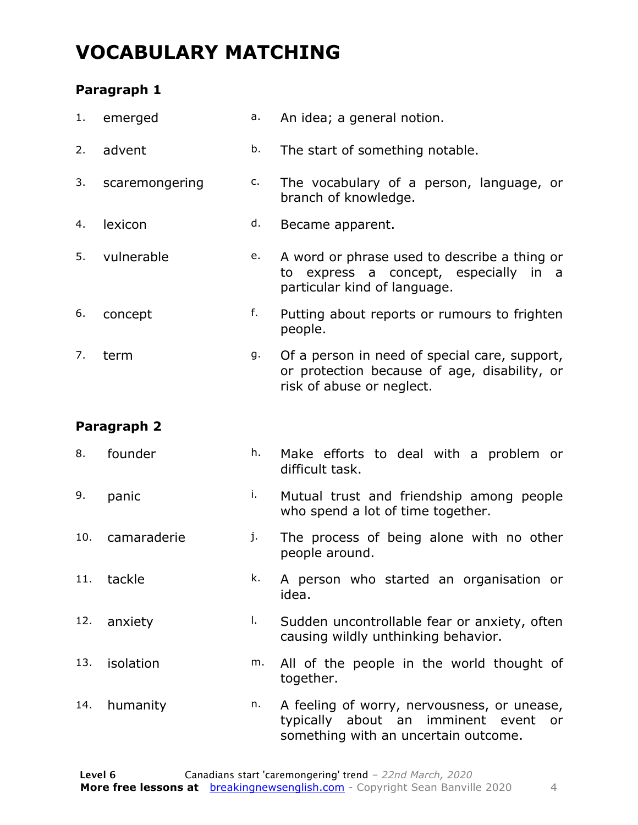### **VOCABULARY MATCHING**

#### **Paragraph 1**

| 1.  | emerged        | а. | An idea; a general notion.                                                                                                    |
|-----|----------------|----|-------------------------------------------------------------------------------------------------------------------------------|
| 2.  | advent         | b. | The start of something notable.                                                                                               |
| 3.  | scaremongering | c. | The vocabulary of a person, language, or<br>branch of knowledge.                                                              |
| 4.  | lexicon        | d. | Became apparent.                                                                                                              |
| 5.  | vulnerable     | e. | A word or phrase used to describe a thing or<br>express a concept, especially in<br>to<br>a a<br>particular kind of language. |
| 6.  | concept        | f. | Putting about reports or rumours to frighten<br>people.                                                                       |
| 7.  | term           | g. | Of a person in need of special care, support,<br>or protection because of age, disability, or<br>risk of abuse or neglect.    |
|     | Paragraph 2    |    |                                                                                                                               |
| 8.  | founder        | h. | Make efforts to deal with a problem or<br>difficult task.                                                                     |
| 9.  | panic          | i. | Mutual trust and friendship among people<br>who spend a lot of time together.                                                 |
| 10. | camaraderie    | j. | The process of being alone with no other<br>people around.                                                                    |
| 11. | tackle         | k. | A person who started an organisation or<br>idea.                                                                              |
| 12. | anxiety        | Ι. | Sudden uncontrollable fear or anxiety, often<br>causing wildly unthinking behavior.                                           |
| 13. | isolation      | m. | All of the people in the world thought of<br>together.                                                                        |
| 14. | humanity       | n. | A feeling of worry, nervousness, or unease,<br>typically about an imminent event or                                           |

something with an uncertain outcome.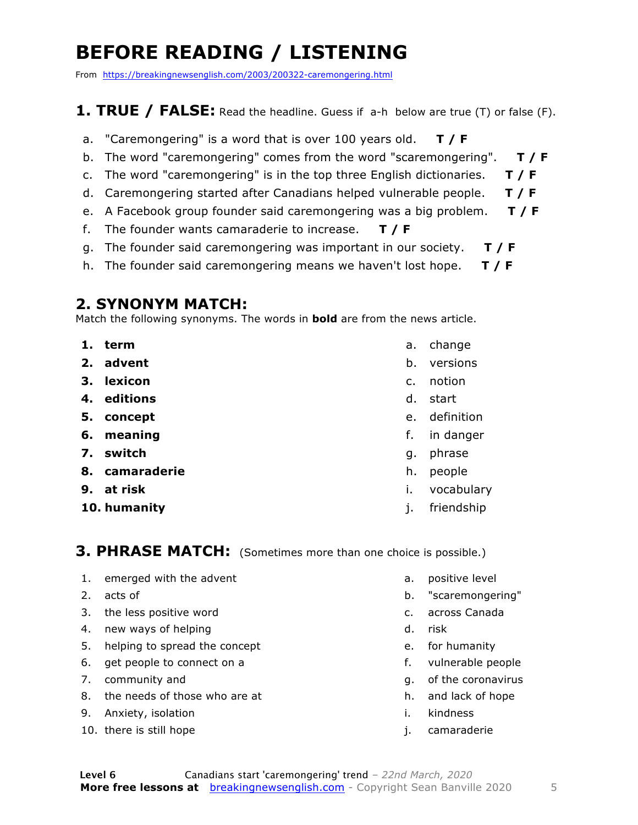### **BEFORE READING / LISTENING**

From https://breakingnewsenglish.com/2003/200322-caremongering.html

#### **1. TRUE / FALSE:** Read the headline. Guess if a-h below are true (T) or false (F).

- a. "Caremongering" is a word that is over 100 years old. **T / F**
- b. The word "caremongering" comes from the word "scaremongering". **T / F**
- c. The word "caremongering" is in the top three English dictionaries. **T / F**
- d. Caremongering started after Canadians helped vulnerable people. **T / F**
- e. A Facebook group founder said caremongering was a big problem. **T / F**
- f. The founder wants camaraderie to increase. **T / F**
- g. The founder said caremongering was important in our society. **T / F**
- h. The founder said caremongering means we haven't lost hope. **T / F**

#### **2. SYNONYM MATCH:**

Match the following synonyms. The words in **bold** are from the news article.

- **1. term**
- **2. advent**
- **3. lexicon**
- **4. editions**
- **5. concept**
- **6. meaning**
- **7. switch**
- **8. camaraderie**
- **9. at risk**
- **10. humanity**
- a. change
- b. versions
- c. notion
- d. start
- e. definition
- f. in danger
- g. phrase
- h. people
- i. vocabulary
- j. friendship

#### **3. PHRASE MATCH:** (Sometimes more than one choice is possible.)

- 1. emerged with the advent
- 2. acts of
- 3. the less positive word
- 4. new ways of helping
- 5. helping to spread the concept
- 6. get people to connect on a
- 7. community and
- 8. the needs of those who are at
- 9. Anxiety, isolation
- 10. there is still hope
- a. positive level
- b. "scaremongering"
- c. across Canada
- d. risk
- e. for humanity
- f. vulnerable people
- g. of the coronavirus
- h. and lack of hope
- i. kindness
- j. camaraderie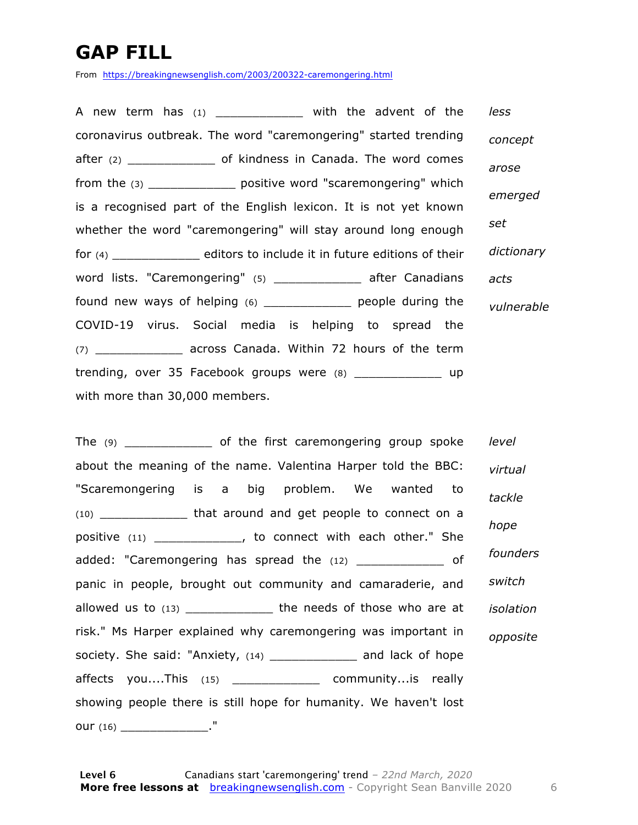### **GAP FILL**

From https://breakingnewsenglish.com/2003/200322-caremongering.html

A new term has (1) \_\_\_\_\_\_\_\_\_\_\_\_\_\_ with the advent of the coronavirus outbreak. The word "caremongering" started trending after (2) \_\_\_\_\_\_\_\_\_\_\_\_\_\_\_\_ of kindness in Canada. The word comes from the (3) \_\_\_\_\_\_\_\_\_\_\_\_ positive word "scaremongering" which is a recognised part of the English lexicon. It is not yet known whether the word "caremongering" will stay around long enough for (4) \_\_\_\_\_\_\_\_\_\_\_\_ editors to include it in future editions of their word lists. "Caremongering" (5) \_\_\_\_\_\_\_\_\_\_\_\_ after Canadians found new ways of helping (6) \_\_\_\_\_\_\_\_\_\_\_\_ people during the COVID-19 virus. Social media is helping to spread the (7) \_\_\_\_\_\_\_\_\_\_\_\_ across Canada. Within 72 hours of the term trending, over 35 Facebook groups were  $(8)$  \_\_\_\_\_\_\_\_\_\_\_\_\_\_\_ up with more than 30,000 members. *less concept arose emerged set dictionary acts vulnerable*

The (9) of the first caremongering group spoke about the meaning of the name. Valentina Harper told the BBC: "Scaremongering is a big problem. We wanted to (10) That around and get people to connect on a positive (11) \_\_\_\_\_\_\_\_\_\_\_\_, to connect with each other." She added: "Caremongering has spread the (12) \_\_\_\_\_\_\_\_\_\_\_\_\_ of panic in people, brought out community and camaraderie, and allowed us to (13) \_\_\_\_\_\_\_\_\_\_\_\_\_\_\_ the needs of those who are at risk." Ms Harper explained why caremongering was important in society. She said: "Anxiety, (14) \_\_\_\_\_\_\_\_\_\_\_\_\_\_\_ and lack of hope affects you....This (15) \_\_\_\_\_\_\_\_\_\_\_\_ community...is really showing people there is still hope for humanity. We haven't lost our (16) \_\_\_\_\_\_\_\_\_\_\_\_\_\_\_\_\_\_\_\_\_\_." *level virtual tackle hope founders switch isolation opposite*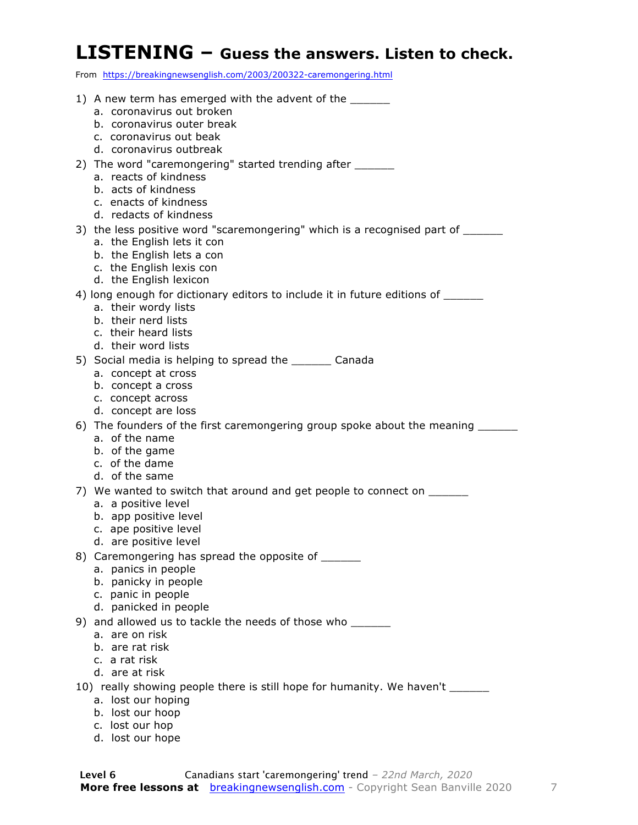#### **LISTENING – Guess the answers. Listen to check.**

From https://breakingnewsenglish.com/2003/200322-caremongering.html

| 1) A new term has emerged with the advent of the _______<br>a. coronavirus out broken<br>b. coronavirus outer break<br>c. coronavirus out beak<br>d. coronavirus outbreak<br>2) The word "caremongering" started trending after _______<br>a. reacts of kindness<br>b. acts of kindness<br>c. enacts of kindness<br>d. redacts of kindness<br>3) the less positive word "scaremongering" which is a recognised part of _______<br>a. the English lets it con<br>b. the English lets a con<br>c. the English lexis con<br>d. the English lexicon<br>4) long enough for dictionary editors to include it in future editions of ______<br>a. their wordy lists<br>b. their nerd lists<br>c. their heard lists<br>d. their word lists<br>5) Social media is helping to spread the ________ Canada<br>a. concept at cross<br>b. concept a cross<br>c. concept across<br>d. concept are loss<br>6) The founders of the first caremongering group spoke about the meaning ____<br>a. of the name<br>b. of the game<br>c. of the dame<br>d. of the same<br>7) We wanted to switch that around and get people to connect on ______<br>a. a positive level<br>b. app positive level<br>c. ape positive level<br>d. are positive level<br>8) Caremongering has spread the opposite of ______<br>a. panics in people<br>b. panicky in people<br>c. panic in people<br>d. panicked in people<br>9) and allowed us to tackle the needs of those who ______<br>a. are on risk<br>b. are rat risk<br>c. a rat risk<br>d. are at risk<br>10) really showing people there is still hope for humanity. We haven't ________<br>a. lost our hoping<br>b. lost our hoop<br>c. lost our hop<br>d. lost our hope |  |  |
|------------------------------------------------------------------------------------------------------------------------------------------------------------------------------------------------------------------------------------------------------------------------------------------------------------------------------------------------------------------------------------------------------------------------------------------------------------------------------------------------------------------------------------------------------------------------------------------------------------------------------------------------------------------------------------------------------------------------------------------------------------------------------------------------------------------------------------------------------------------------------------------------------------------------------------------------------------------------------------------------------------------------------------------------------------------------------------------------------------------------------------------------------------------------------------------------------------------------------------------------------------------------------------------------------------------------------------------------------------------------------------------------------------------------------------------------------------------------------------------------------------------------------------------------------------------------------------------------------------------------------------------------------------------------------------------|--|--|
|                                                                                                                                                                                                                                                                                                                                                                                                                                                                                                                                                                                                                                                                                                                                                                                                                                                                                                                                                                                                                                                                                                                                                                                                                                                                                                                                                                                                                                                                                                                                                                                                                                                                                          |  |  |
|                                                                                                                                                                                                                                                                                                                                                                                                                                                                                                                                                                                                                                                                                                                                                                                                                                                                                                                                                                                                                                                                                                                                                                                                                                                                                                                                                                                                                                                                                                                                                                                                                                                                                          |  |  |
|                                                                                                                                                                                                                                                                                                                                                                                                                                                                                                                                                                                                                                                                                                                                                                                                                                                                                                                                                                                                                                                                                                                                                                                                                                                                                                                                                                                                                                                                                                                                                                                                                                                                                          |  |  |
|                                                                                                                                                                                                                                                                                                                                                                                                                                                                                                                                                                                                                                                                                                                                                                                                                                                                                                                                                                                                                                                                                                                                                                                                                                                                                                                                                                                                                                                                                                                                                                                                                                                                                          |  |  |
|                                                                                                                                                                                                                                                                                                                                                                                                                                                                                                                                                                                                                                                                                                                                                                                                                                                                                                                                                                                                                                                                                                                                                                                                                                                                                                                                                                                                                                                                                                                                                                                                                                                                                          |  |  |
|                                                                                                                                                                                                                                                                                                                                                                                                                                                                                                                                                                                                                                                                                                                                                                                                                                                                                                                                                                                                                                                                                                                                                                                                                                                                                                                                                                                                                                                                                                                                                                                                                                                                                          |  |  |
|                                                                                                                                                                                                                                                                                                                                                                                                                                                                                                                                                                                                                                                                                                                                                                                                                                                                                                                                                                                                                                                                                                                                                                                                                                                                                                                                                                                                                                                                                                                                                                                                                                                                                          |  |  |
|                                                                                                                                                                                                                                                                                                                                                                                                                                                                                                                                                                                                                                                                                                                                                                                                                                                                                                                                                                                                                                                                                                                                                                                                                                                                                                                                                                                                                                                                                                                                                                                                                                                                                          |  |  |
|                                                                                                                                                                                                                                                                                                                                                                                                                                                                                                                                                                                                                                                                                                                                                                                                                                                                                                                                                                                                                                                                                                                                                                                                                                                                                                                                                                                                                                                                                                                                                                                                                                                                                          |  |  |
|                                                                                                                                                                                                                                                                                                                                                                                                                                                                                                                                                                                                                                                                                                                                                                                                                                                                                                                                                                                                                                                                                                                                                                                                                                                                                                                                                                                                                                                                                                                                                                                                                                                                                          |  |  |
|                                                                                                                                                                                                                                                                                                                                                                                                                                                                                                                                                                                                                                                                                                                                                                                                                                                                                                                                                                                                                                                                                                                                                                                                                                                                                                                                                                                                                                                                                                                                                                                                                                                                                          |  |  |
|                                                                                                                                                                                                                                                                                                                                                                                                                                                                                                                                                                                                                                                                                                                                                                                                                                                                                                                                                                                                                                                                                                                                                                                                                                                                                                                                                                                                                                                                                                                                                                                                                                                                                          |  |  |
|                                                                                                                                                                                                                                                                                                                                                                                                                                                                                                                                                                                                                                                                                                                                                                                                                                                                                                                                                                                                                                                                                                                                                                                                                                                                                                                                                                                                                                                                                                                                                                                                                                                                                          |  |  |
|                                                                                                                                                                                                                                                                                                                                                                                                                                                                                                                                                                                                                                                                                                                                                                                                                                                                                                                                                                                                                                                                                                                                                                                                                                                                                                                                                                                                                                                                                                                                                                                                                                                                                          |  |  |
|                                                                                                                                                                                                                                                                                                                                                                                                                                                                                                                                                                                                                                                                                                                                                                                                                                                                                                                                                                                                                                                                                                                                                                                                                                                                                                                                                                                                                                                                                                                                                                                                                                                                                          |  |  |
|                                                                                                                                                                                                                                                                                                                                                                                                                                                                                                                                                                                                                                                                                                                                                                                                                                                                                                                                                                                                                                                                                                                                                                                                                                                                                                                                                                                                                                                                                                                                                                                                                                                                                          |  |  |
|                                                                                                                                                                                                                                                                                                                                                                                                                                                                                                                                                                                                                                                                                                                                                                                                                                                                                                                                                                                                                                                                                                                                                                                                                                                                                                                                                                                                                                                                                                                                                                                                                                                                                          |  |  |
|                                                                                                                                                                                                                                                                                                                                                                                                                                                                                                                                                                                                                                                                                                                                                                                                                                                                                                                                                                                                                                                                                                                                                                                                                                                                                                                                                                                                                                                                                                                                                                                                                                                                                          |  |  |
|                                                                                                                                                                                                                                                                                                                                                                                                                                                                                                                                                                                                                                                                                                                                                                                                                                                                                                                                                                                                                                                                                                                                                                                                                                                                                                                                                                                                                                                                                                                                                                                                                                                                                          |  |  |
|                                                                                                                                                                                                                                                                                                                                                                                                                                                                                                                                                                                                                                                                                                                                                                                                                                                                                                                                                                                                                                                                                                                                                                                                                                                                                                                                                                                                                                                                                                                                                                                                                                                                                          |  |  |
|                                                                                                                                                                                                                                                                                                                                                                                                                                                                                                                                                                                                                                                                                                                                                                                                                                                                                                                                                                                                                                                                                                                                                                                                                                                                                                                                                                                                                                                                                                                                                                                                                                                                                          |  |  |
|                                                                                                                                                                                                                                                                                                                                                                                                                                                                                                                                                                                                                                                                                                                                                                                                                                                                                                                                                                                                                                                                                                                                                                                                                                                                                                                                                                                                                                                                                                                                                                                                                                                                                          |  |  |
|                                                                                                                                                                                                                                                                                                                                                                                                                                                                                                                                                                                                                                                                                                                                                                                                                                                                                                                                                                                                                                                                                                                                                                                                                                                                                                                                                                                                                                                                                                                                                                                                                                                                                          |  |  |
|                                                                                                                                                                                                                                                                                                                                                                                                                                                                                                                                                                                                                                                                                                                                                                                                                                                                                                                                                                                                                                                                                                                                                                                                                                                                                                                                                                                                                                                                                                                                                                                                                                                                                          |  |  |
|                                                                                                                                                                                                                                                                                                                                                                                                                                                                                                                                                                                                                                                                                                                                                                                                                                                                                                                                                                                                                                                                                                                                                                                                                                                                                                                                                                                                                                                                                                                                                                                                                                                                                          |  |  |
|                                                                                                                                                                                                                                                                                                                                                                                                                                                                                                                                                                                                                                                                                                                                                                                                                                                                                                                                                                                                                                                                                                                                                                                                                                                                                                                                                                                                                                                                                                                                                                                                                                                                                          |  |  |
|                                                                                                                                                                                                                                                                                                                                                                                                                                                                                                                                                                                                                                                                                                                                                                                                                                                                                                                                                                                                                                                                                                                                                                                                                                                                                                                                                                                                                                                                                                                                                                                                                                                                                          |  |  |
|                                                                                                                                                                                                                                                                                                                                                                                                                                                                                                                                                                                                                                                                                                                                                                                                                                                                                                                                                                                                                                                                                                                                                                                                                                                                                                                                                                                                                                                                                                                                                                                                                                                                                          |  |  |
|                                                                                                                                                                                                                                                                                                                                                                                                                                                                                                                                                                                                                                                                                                                                                                                                                                                                                                                                                                                                                                                                                                                                                                                                                                                                                                                                                                                                                                                                                                                                                                                                                                                                                          |  |  |
|                                                                                                                                                                                                                                                                                                                                                                                                                                                                                                                                                                                                                                                                                                                                                                                                                                                                                                                                                                                                                                                                                                                                                                                                                                                                                                                                                                                                                                                                                                                                                                                                                                                                                          |  |  |
|                                                                                                                                                                                                                                                                                                                                                                                                                                                                                                                                                                                                                                                                                                                                                                                                                                                                                                                                                                                                                                                                                                                                                                                                                                                                                                                                                                                                                                                                                                                                                                                                                                                                                          |  |  |
|                                                                                                                                                                                                                                                                                                                                                                                                                                                                                                                                                                                                                                                                                                                                                                                                                                                                                                                                                                                                                                                                                                                                                                                                                                                                                                                                                                                                                                                                                                                                                                                                                                                                                          |  |  |
|                                                                                                                                                                                                                                                                                                                                                                                                                                                                                                                                                                                                                                                                                                                                                                                                                                                                                                                                                                                                                                                                                                                                                                                                                                                                                                                                                                                                                                                                                                                                                                                                                                                                                          |  |  |
|                                                                                                                                                                                                                                                                                                                                                                                                                                                                                                                                                                                                                                                                                                                                                                                                                                                                                                                                                                                                                                                                                                                                                                                                                                                                                                                                                                                                                                                                                                                                                                                                                                                                                          |  |  |
|                                                                                                                                                                                                                                                                                                                                                                                                                                                                                                                                                                                                                                                                                                                                                                                                                                                                                                                                                                                                                                                                                                                                                                                                                                                                                                                                                                                                                                                                                                                                                                                                                                                                                          |  |  |
|                                                                                                                                                                                                                                                                                                                                                                                                                                                                                                                                                                                                                                                                                                                                                                                                                                                                                                                                                                                                                                                                                                                                                                                                                                                                                                                                                                                                                                                                                                                                                                                                                                                                                          |  |  |
|                                                                                                                                                                                                                                                                                                                                                                                                                                                                                                                                                                                                                                                                                                                                                                                                                                                                                                                                                                                                                                                                                                                                                                                                                                                                                                                                                                                                                                                                                                                                                                                                                                                                                          |  |  |
|                                                                                                                                                                                                                                                                                                                                                                                                                                                                                                                                                                                                                                                                                                                                                                                                                                                                                                                                                                                                                                                                                                                                                                                                                                                                                                                                                                                                                                                                                                                                                                                                                                                                                          |  |  |
|                                                                                                                                                                                                                                                                                                                                                                                                                                                                                                                                                                                                                                                                                                                                                                                                                                                                                                                                                                                                                                                                                                                                                                                                                                                                                                                                                                                                                                                                                                                                                                                                                                                                                          |  |  |
|                                                                                                                                                                                                                                                                                                                                                                                                                                                                                                                                                                                                                                                                                                                                                                                                                                                                                                                                                                                                                                                                                                                                                                                                                                                                                                                                                                                                                                                                                                                                                                                                                                                                                          |  |  |
|                                                                                                                                                                                                                                                                                                                                                                                                                                                                                                                                                                                                                                                                                                                                                                                                                                                                                                                                                                                                                                                                                                                                                                                                                                                                                                                                                                                                                                                                                                                                                                                                                                                                                          |  |  |
|                                                                                                                                                                                                                                                                                                                                                                                                                                                                                                                                                                                                                                                                                                                                                                                                                                                                                                                                                                                                                                                                                                                                                                                                                                                                                                                                                                                                                                                                                                                                                                                                                                                                                          |  |  |
|                                                                                                                                                                                                                                                                                                                                                                                                                                                                                                                                                                                                                                                                                                                                                                                                                                                                                                                                                                                                                                                                                                                                                                                                                                                                                                                                                                                                                                                                                                                                                                                                                                                                                          |  |  |
|                                                                                                                                                                                                                                                                                                                                                                                                                                                                                                                                                                                                                                                                                                                                                                                                                                                                                                                                                                                                                                                                                                                                                                                                                                                                                                                                                                                                                                                                                                                                                                                                                                                                                          |  |  |
|                                                                                                                                                                                                                                                                                                                                                                                                                                                                                                                                                                                                                                                                                                                                                                                                                                                                                                                                                                                                                                                                                                                                                                                                                                                                                                                                                                                                                                                                                                                                                                                                                                                                                          |  |  |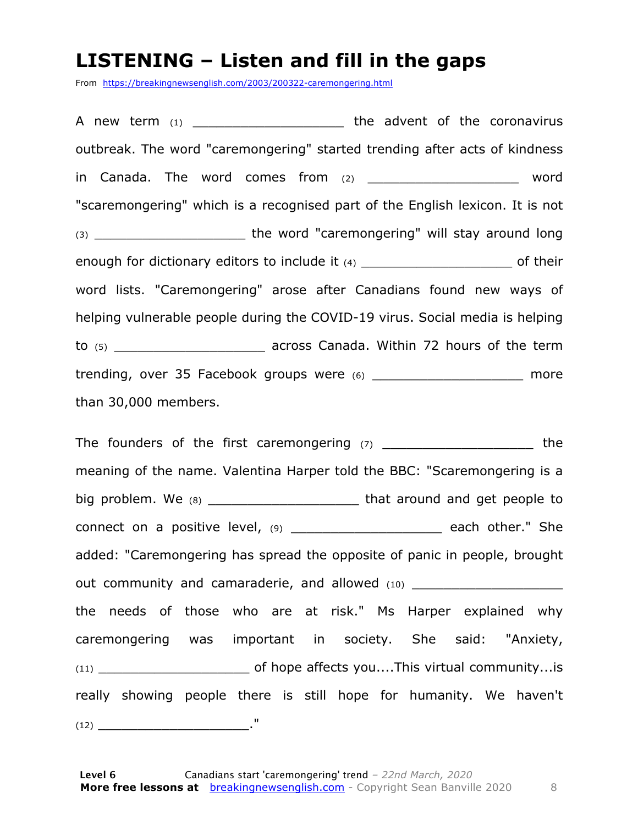#### **LISTENING – Listen and fill in the gaps**

From https://breakingnewsenglish.com/2003/200322-caremongering.html

A new term (1) \_\_\_\_\_\_\_\_\_\_\_\_\_\_\_\_\_\_\_\_\_\_\_\_ the advent of the coronavirus outbreak. The word "caremongering" started trending after acts of kindness in Canada. The word comes from (2) The comparation of the word "scaremongering" which is a recognised part of the English lexicon. It is not (3) \_\_\_\_\_\_\_\_\_\_\_\_\_\_\_\_\_\_\_ the word "caremongering" will stay around long enough for dictionary editors to include it  $(4)$  enough for dictionary editors to include it  $(4)$ word lists. "Caremongering" arose after Canadians found new ways of helping vulnerable people during the COVID-19 virus. Social media is helping to (5) **the contract of the term** across Canada. Within 72 hours of the term trending, over 35 Facebook groups were (6) \_\_\_\_\_\_\_\_\_\_\_\_\_\_\_\_\_\_\_\_\_\_ more than 30,000 members.

The founders of the first caremongering  $(7)$  \_\_\_\_\_\_\_\_\_\_\_\_\_\_\_\_\_\_\_\_\_\_\_ the meaning of the name. Valentina Harper told the BBC: "Scaremongering is a big problem. We (8) \_\_\_\_\_\_\_\_\_\_\_\_\_\_\_\_\_\_\_ that around and get people to connect on a positive level, (9) \_\_\_\_\_\_\_\_\_\_\_\_\_\_\_\_\_\_\_\_\_\_ each other." She added: "Caremongering has spread the opposite of panic in people, brought out community and camaraderie, and allowed (10) the needs of those who are at risk." Ms Harper explained why caremongering was important in society. She said: "Anxiety, (11) **the of hope affects you....This virtual community...is** really showing people there is still hope for humanity. We haven't (12) \_\_\_\_\_\_\_\_\_\_\_\_\_\_\_\_\_\_\_."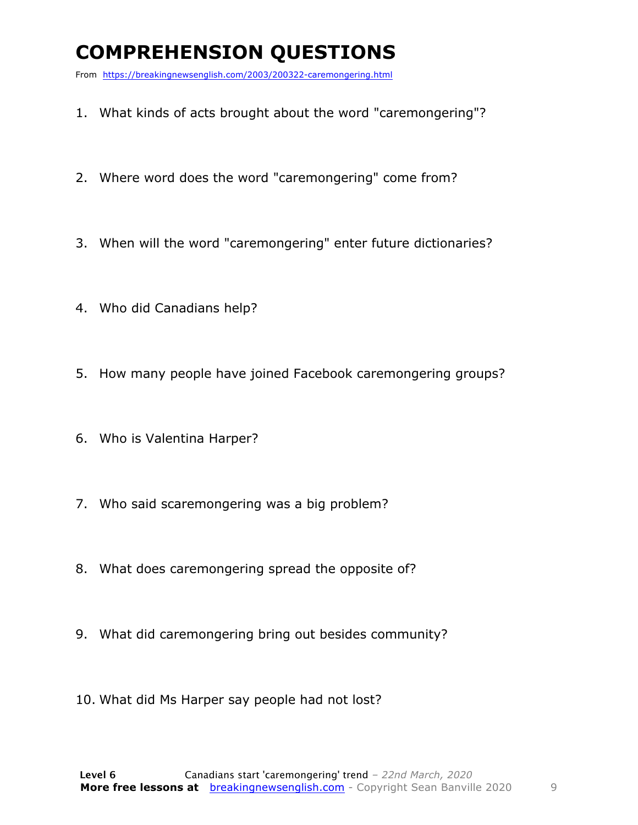### **COMPREHENSION QUESTIONS**

From https://breakingnewsenglish.com/2003/200322-caremongering.html

- 1. What kinds of acts brought about the word "caremongering"?
- 2. Where word does the word "caremongering" come from?
- 3. When will the word "caremongering" enter future dictionaries?
- 4. Who did Canadians help?
- 5. How many people have joined Facebook caremongering groups?
- 6. Who is Valentina Harper?
- 7. Who said scaremongering was a big problem?
- 8. What does caremongering spread the opposite of?
- 9. What did caremongering bring out besides community?
- 10. What did Ms Harper say people had not lost?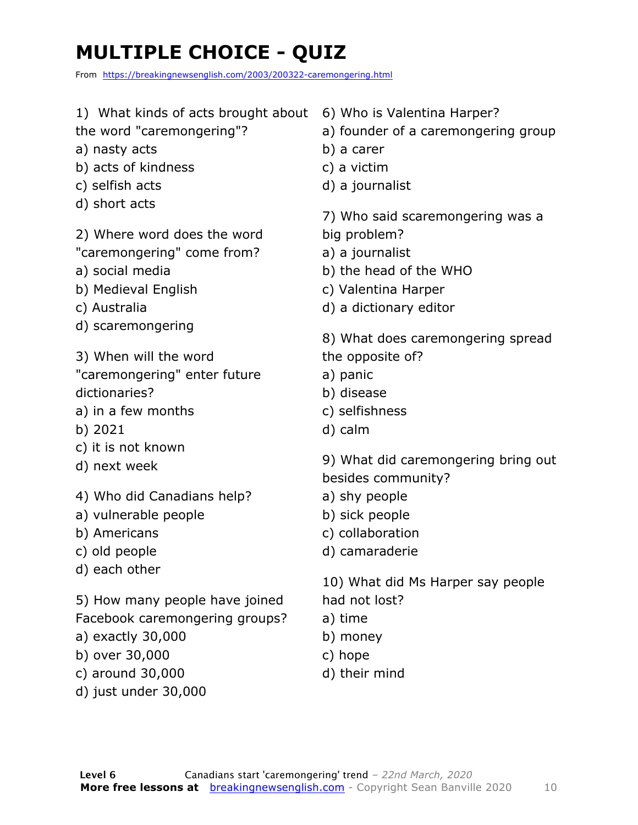### **MULTIPLE CHOICE - QUIZ**

From https://breakingnewsenglish.com/2003/200322-caremongering.html

1) What kinds of acts brought about the word "caremongering"? a) nasty acts b) acts of kindness c) selfish acts d) short acts 2) Where word does the word "caremongering" come from? a) social media b) Medieval English c) Australia d) scaremongering 3) When will the word "caremongering" enter future dictionaries? a) in a few months b) 2021 c) it is not known d) next week 4) Who did Canadians help? a) vulnerable people b) Americans c) old people d) each other 5) How many people have joined Facebook caremongering groups? a) exactly 30,000 b) over 30,000 c) around 30,000 d) just under 30,000 6) Who is Valentina Harper? a) founder of a caremongering group b) a carer c) a victim d) a journalist 7) Who said scaremongering was a big problem? a) a journalist b) the head of the WHO c) Valentina Harper d) a dictionary editor 8) What does caremongering spread the opposite of? a) panic b) disease c) selfishness d) calm 9) What did caremongering bring out besides community? a) shy people b) sick people c) collaboration d) camaraderie 10) What did Ms Harper say people had not lost? a) time b) money c) hope d) their mind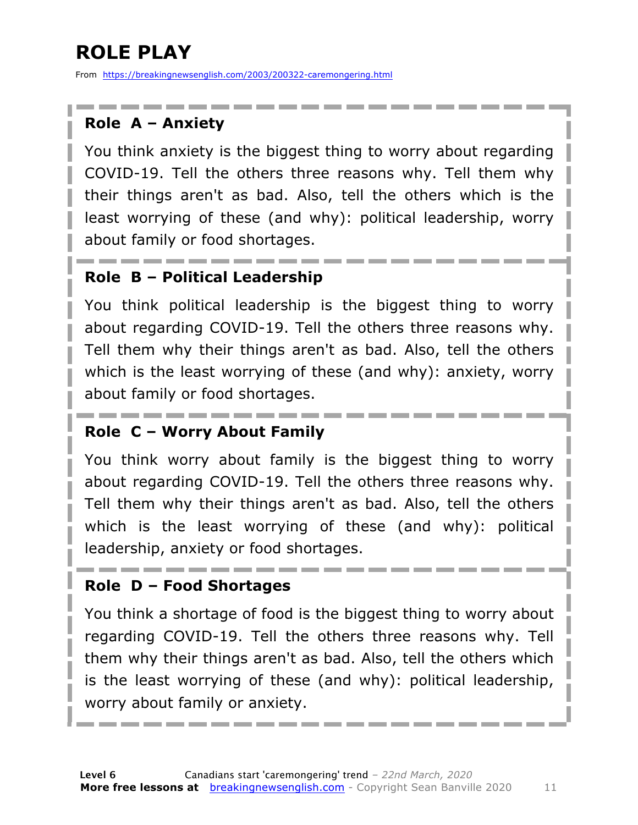### **ROLE PLAY**

From https://breakingnewsenglish.com/2003/200322-caremongering.html

#### **Role A – Anxiety**

You think anxiety is the biggest thing to worry about regarding COVID-19. Tell the others three reasons why. Tell them why their things aren't as bad. Also, tell the others which is the least worrying of these (and why): political leadership, worry about family or food shortages.

#### **Role B – Political Leadership**

You think political leadership is the biggest thing to worry about regarding COVID-19. Tell the others three reasons why. Tell them why their things aren't as bad. Also, tell the others which is the least worrying of these (and why): anxiety, worry about family or food shortages.

#### **Role C – Worry About Family**

You think worry about family is the biggest thing to worry about regarding COVID-19. Tell the others three reasons why. Tell them why their things aren't as bad. Also, tell the others which is the least worrying of these (and why): political leadership, anxiety or food shortages.

#### **Role D – Food Shortages**

You think a shortage of food is the biggest thing to worry about regarding COVID-19. Tell the others three reasons why. Tell them why their things aren't as bad. Also, tell the others which is the least worrying of these (and why): political leadership, worry about family or anxiety.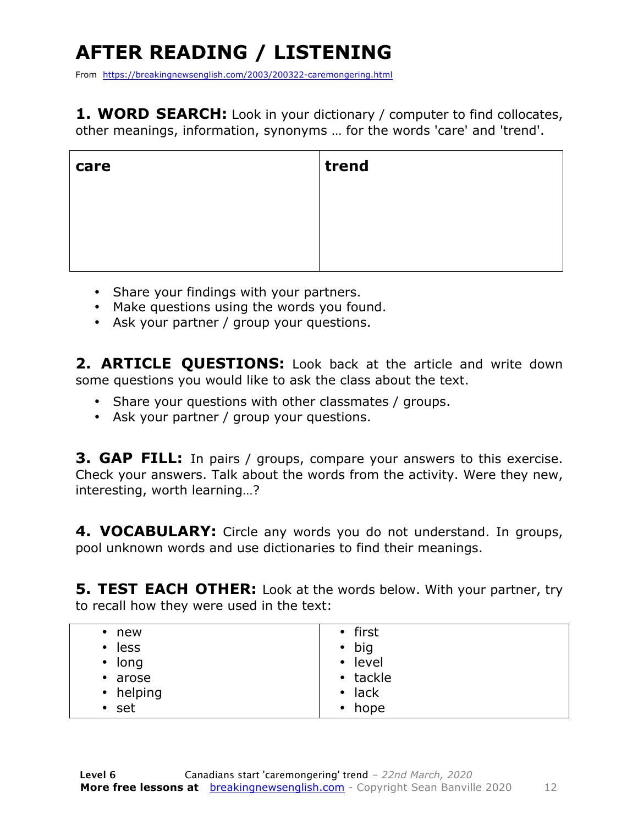### **AFTER READING / LISTENING**

From https://breakingnewsenglish.com/2003/200322-caremongering.html

**1. WORD SEARCH:** Look in your dictionary / computer to find collocates, other meanings, information, synonyms … for the words 'care' and 'trend'.

| care | trend |
|------|-------|
|      |       |
|      |       |
|      |       |

- Share your findings with your partners.
- Make questions using the words you found.
- Ask your partner / group your questions.

2. **ARTICLE OUESTIONS:** Look back at the article and write down some questions you would like to ask the class about the text.

- Share your questions with other classmates / groups.
- Ask your partner / group your questions.

**3. GAP FILL:** In pairs / groups, compare your answers to this exercise. Check your answers. Talk about the words from the activity. Were they new, interesting, worth learning…?

**4. VOCABULARY:** Circle any words you do not understand. In groups, pool unknown words and use dictionaries to find their meanings.

**5. TEST EACH OTHER:** Look at the words below. With your partner, try to recall how they were used in the text:

| $\cdot$ new<br>less<br>$\bullet$<br>$\cdot$ long<br>• arose<br>• helping | • first<br>$\bullet$ big<br>• level<br>• tackle<br>$\bullet$ lack |
|--------------------------------------------------------------------------|-------------------------------------------------------------------|
| $•$ set                                                                  | $\cdot$ hope                                                      |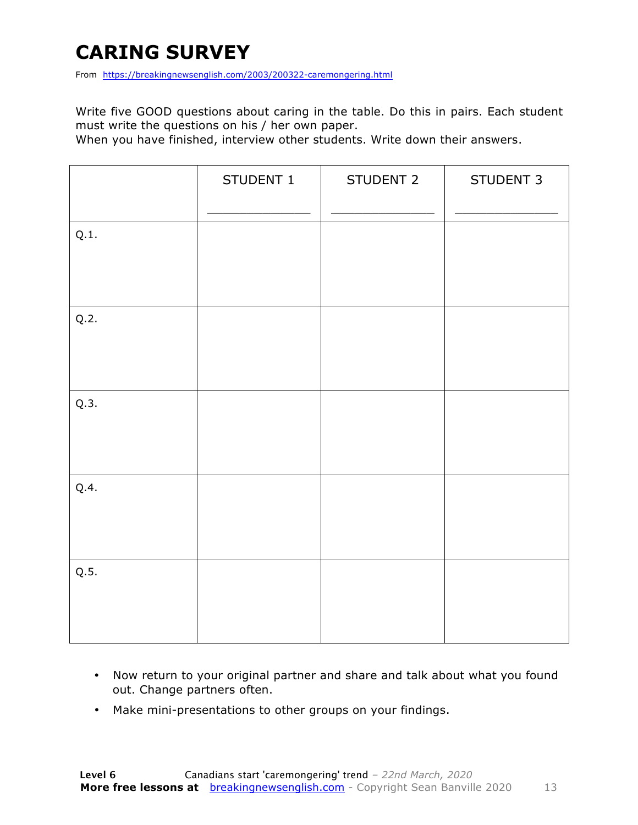### **CARING SURVEY**

From https://breakingnewsenglish.com/2003/200322-caremongering.html

Write five GOOD questions about caring in the table. Do this in pairs. Each student must write the questions on his / her own paper.

When you have finished, interview other students. Write down their answers.

|      | STUDENT 1 | STUDENT 2 | STUDENT 3 |
|------|-----------|-----------|-----------|
| Q.1. |           |           |           |
| Q.2. |           |           |           |
| Q.3. |           |           |           |
| Q.4. |           |           |           |
| Q.5. |           |           |           |

- Now return to your original partner and share and talk about what you found out. Change partners often.
- Make mini-presentations to other groups on your findings.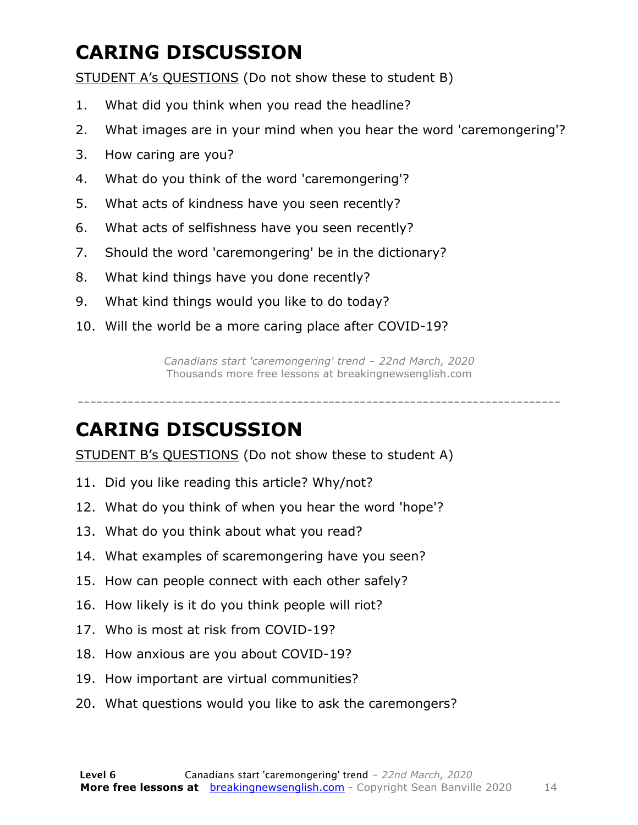### **CARING DISCUSSION**

STUDENT A's QUESTIONS (Do not show these to student B)

- 1. What did you think when you read the headline?
- 2. What images are in your mind when you hear the word 'caremongering'?
- 3. How caring are you?
- 4. What do you think of the word 'caremongering'?
- 5. What acts of kindness have you seen recently?
- 6. What acts of selfishness have you seen recently?
- 7. Should the word 'caremongering' be in the dictionary?
- 8. What kind things have you done recently?
- 9. What kind things would you like to do today?
- 10. Will the world be a more caring place after COVID-19?

*Canadians start 'caremongering' trend – 22nd March, 2020* Thousands more free lessons at breakingnewsenglish.com

-----------------------------------------------------------------------------

#### **CARING DISCUSSION**

STUDENT B's QUESTIONS (Do not show these to student A)

- 11. Did you like reading this article? Why/not?
- 12. What do you think of when you hear the word 'hope'?
- 13. What do you think about what you read?
- 14. What examples of scaremongering have you seen?
- 15. How can people connect with each other safely?
- 16. How likely is it do you think people will riot?
- 17. Who is most at risk from COVID-19?
- 18. How anxious are you about COVID-19?
- 19. How important are virtual communities?
- 20. What questions would you like to ask the caremongers?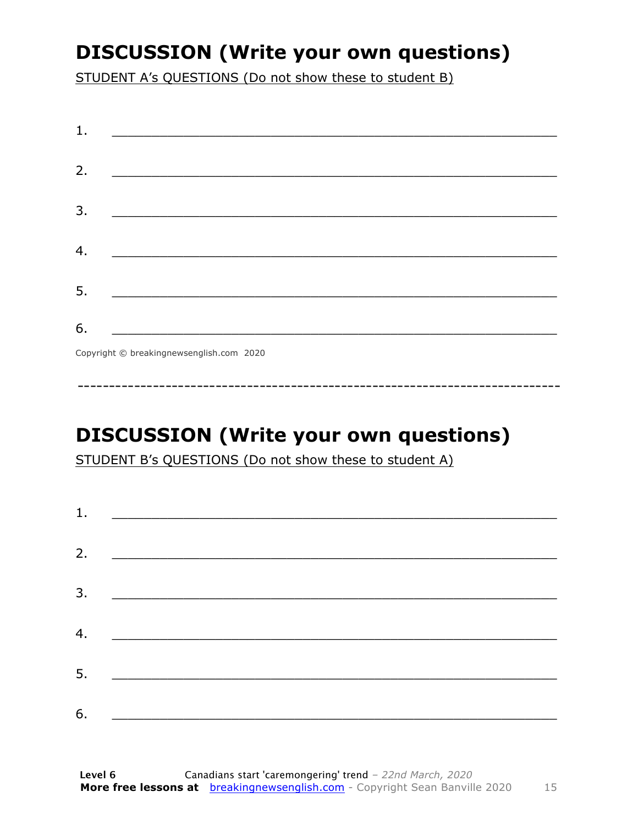### **DISCUSSION (Write your own questions)**

STUDENT A's QUESTIONS (Do not show these to student B)

| 1. |                                          |
|----|------------------------------------------|
|    |                                          |
| 2. |                                          |
|    |                                          |
| 3. |                                          |
|    |                                          |
| 4. |                                          |
|    |                                          |
| 5. |                                          |
|    |                                          |
| 6. |                                          |
|    | Copyright © breakingnewsenglish.com 2020 |

### **DISCUSSION (Write your own questions)**

STUDENT B's QUESTIONS (Do not show these to student A)

| 1. | <u> Alexandria de la contrada de la contrada de la contrada de la contrada de la contrada de la contrada de la c</u> |  |  |
|----|----------------------------------------------------------------------------------------------------------------------|--|--|
|    |                                                                                                                      |  |  |
| 2. |                                                                                                                      |  |  |
| 3. |                                                                                                                      |  |  |
|    |                                                                                                                      |  |  |
| 4. |                                                                                                                      |  |  |
| 5. |                                                                                                                      |  |  |
|    |                                                                                                                      |  |  |
| 6. |                                                                                                                      |  |  |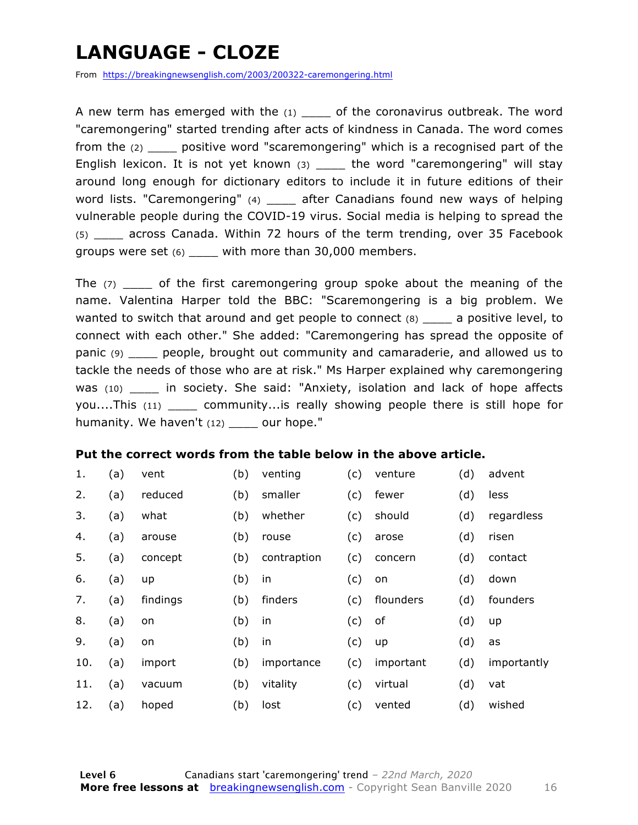### **LANGUAGE - CLOZE**

From https://breakingnewsenglish.com/2003/200322-caremongering.html

A new term has emerged with the  $(1)$  of the coronavirus outbreak. The word "caremongering" started trending after acts of kindness in Canada. The word comes from the (2) \_\_\_\_ positive word "scaremongering" which is a recognised part of the English lexicon. It is not yet known (3) \_\_\_\_ the word "caremongering" will stay around long enough for dictionary editors to include it in future editions of their word lists. "Caremongering" (4) \_\_\_\_\_ after Canadians found new ways of helping vulnerable people during the COVID-19 virus. Social media is helping to spread the (5) \_\_\_\_ across Canada. Within 72 hours of the term trending, over 35 Facebook groups were set (6) \_\_\_\_ with more than 30,000 members.

The  $(7)$  \_\_\_\_ of the first caremongering group spoke about the meaning of the name. Valentina Harper told the BBC: "Scaremongering is a big problem. We wanted to switch that around and get people to connect (8) \_\_\_\_\_ a positive level, to connect with each other." She added: "Caremongering has spread the opposite of panic (9) \_\_\_\_ people, brought out community and camaraderie, and allowed us to tackle the needs of those who are at risk." Ms Harper explained why caremongering was (10) \_\_\_\_ in society. She said: "Anxiety, isolation and lack of hope affects you....This (11) \_\_\_\_ community...is really showing people there is still hope for humanity. We haven't (12) our hope."

#### **Put the correct words from the table below in the above article.**

| 1.  | (a) | vent     | (b) | venting     | (c) | venture   | (d) | advent      |
|-----|-----|----------|-----|-------------|-----|-----------|-----|-------------|
| 2.  | (a) | reduced  | (b) | smaller     | (c) | fewer     | (d) | less        |
| 3.  | (a) | what     | (b) | whether     | (c) | should    | (d) | regardless  |
| 4.  | (a) | arouse   | (b) | rouse       | (c) | arose     | (d) | risen       |
| 5.  | (a) | concept  | (b) | contraption | (c) | concern   | (d) | contact     |
| 6.  | (a) | up       | (b) | in          | (c) | on        | (d) | down        |
| 7.  | (a) | findings | (b) | finders     | (c) | flounders | (d) | founders    |
| 8.  | (a) | on       | (b) | in          | (c) | of        | (d) | up          |
| 9.  | (a) | on       | (b) | in          | (c) | up        | (d) | as          |
| 10. | (a) | import   | (b) | importance  | (c) | important | (d) | importantly |
| 11. | (a) | vacuum   | (b) | vitality    | (c) | virtual   | (d) | vat         |
| 12. | (a) | hoped    | (b) | lost        | (c) | vented    | (d) | wished      |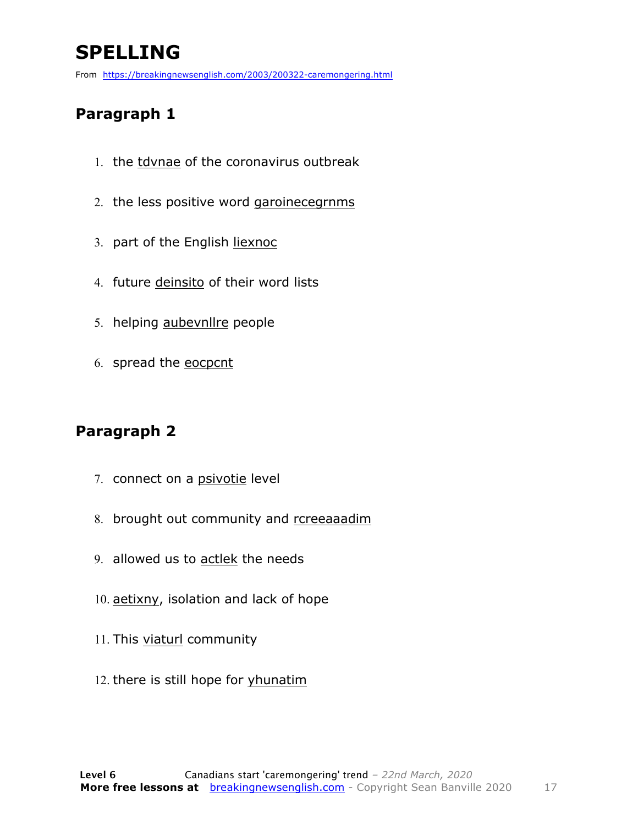### **SPELLING**

From https://breakingnewsenglish.com/2003/200322-caremongering.html

#### **Paragraph 1**

- 1. the tdvnae of the coronavirus outbreak
- 2. the less positive word garoinecegrnms
- 3. part of the English liexnoc
- 4. future deinsito of their word lists
- 5. helping aubevnllre people
- 6. spread the eocpcnt

#### **Paragraph 2**

- 7. connect on a psivotie level
- 8. brought out community and rcreeaaadim
- 9. allowed us to actlek the needs
- 10. aetixny, isolation and lack of hope
- 11. This viaturl community
- 12. there is still hope for yhunatim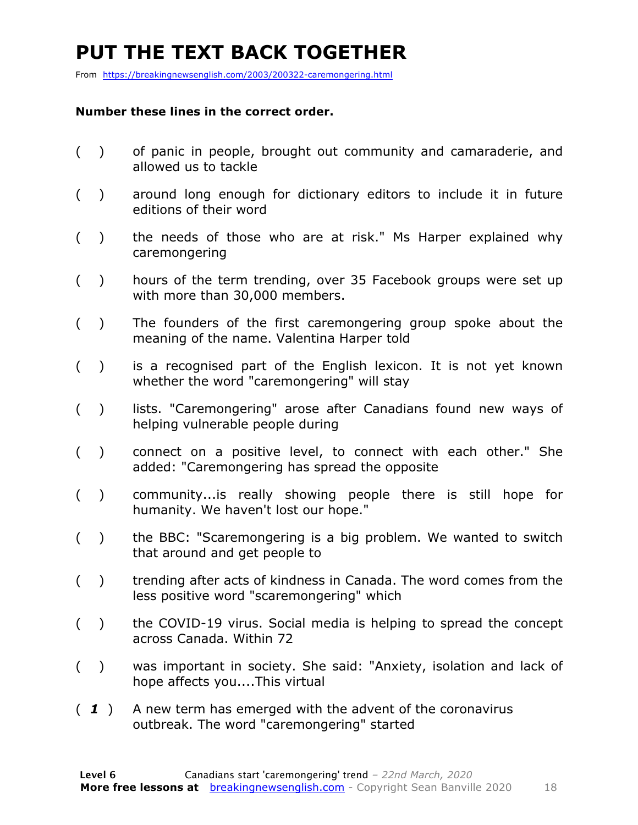### **PUT THE TEXT BACK TOGETHER**

From https://breakingnewsenglish.com/2003/200322-caremongering.html

#### **Number these lines in the correct order.**

- ( ) of panic in people, brought out community and camaraderie, and allowed us to tackle
- ( ) around long enough for dictionary editors to include it in future editions of their word
- ( ) the needs of those who are at risk." Ms Harper explained why caremongering
- ( ) hours of the term trending, over 35 Facebook groups were set up with more than 30,000 members.
- ( ) The founders of the first caremongering group spoke about the meaning of the name. Valentina Harper told
- ( ) is a recognised part of the English lexicon. It is not yet known whether the word "caremongering" will stay
- () lists. "Caremongering" arose after Canadians found new ways of helping vulnerable people during
- ( ) connect on a positive level, to connect with each other." She added: "Caremongering has spread the opposite
- ( ) community...is really showing people there is still hope for humanity. We haven't lost our hope."
- ( ) the BBC: "Scaremongering is a big problem. We wanted to switch that around and get people to
- ( ) trending after acts of kindness in Canada. The word comes from the less positive word "scaremongering" which
- ( ) the COVID-19 virus. Social media is helping to spread the concept across Canada. Within 72
- ( ) was important in society. She said: "Anxiety, isolation and lack of hope affects you....This virtual
- ( *1* ) A new term has emerged with the advent of the coronavirus outbreak. The word "caremongering" started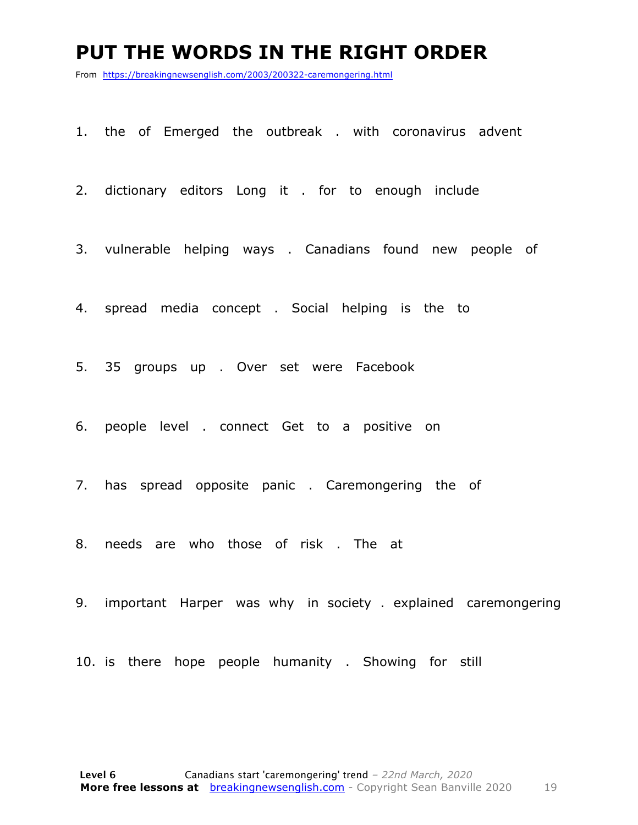#### **PUT THE WORDS IN THE RIGHT ORDER**

From https://breakingnewsenglish.com/2003/200322-caremongering.html

1. the of Emerged the outbreak . with coronavirus advent

2. dictionary editors Long it . for to enough include

3. vulnerable helping ways . Canadians found new people of

4. spread media concept . Social helping is the to

5. 35 groups up . Over set were Facebook

6. people level . connect Get to a positive on

7. has spread opposite panic . Caremongering the of

8. needs are who those of risk . The at

9. important Harper was why in society . explained caremongering

10. is there hope people humanity . Showing for still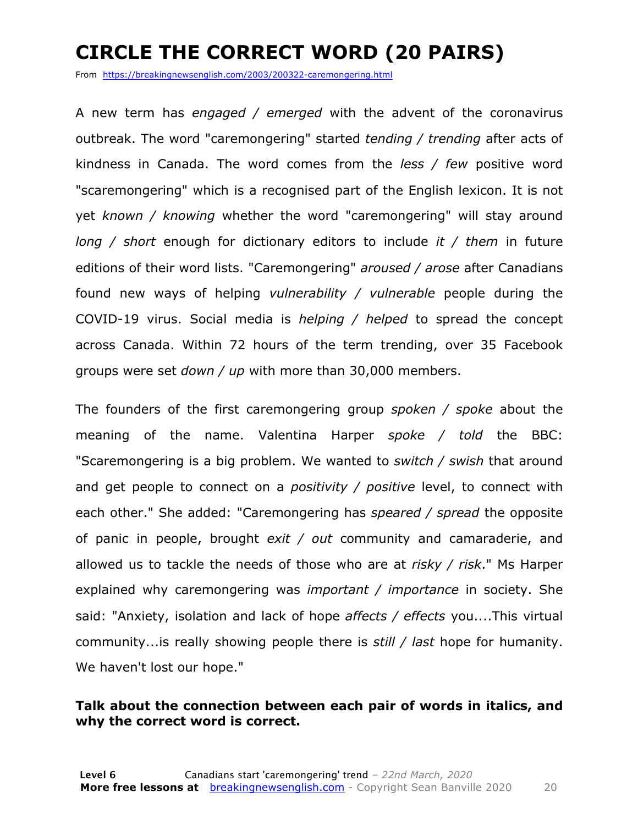### **CIRCLE THE CORRECT WORD (20 PAIRS)**

From https://breakingnewsenglish.com/2003/200322-caremongering.html

A new term has *engaged / emerged* with the advent of the coronavirus outbreak. The word "caremongering" started *tending / trending* after acts of kindness in Canada. The word comes from the *less / few* positive word "scaremongering" which is a recognised part of the English lexicon. It is not yet *known / knowing* whether the word "caremongering" will stay around *long / short* enough for dictionary editors to include *it / them* in future editions of their word lists. "Caremongering" *aroused / arose* after Canadians found new ways of helping *vulnerability / vulnerable* people during the COVID-19 virus. Social media is *helping / helped* to spread the concept across Canada. Within 72 hours of the term trending, over 35 Facebook groups were set *down / up* with more than 30,000 members.

The founders of the first caremongering group *spoken / spoke* about the meaning of the name. Valentina Harper *spoke / told* the BBC: "Scaremongering is a big problem. We wanted to *switch / swish* that around and get people to connect on a *positivity / positive* level, to connect with each other." She added: "Caremongering has *speared / spread* the opposite of panic in people, brought *exit / out* community and camaraderie, and allowed us to tackle the needs of those who are at *risky / risk*." Ms Harper explained why caremongering was *important / importance* in society. She said: "Anxiety, isolation and lack of hope *affects / effects* you....This virtual community...is really showing people there is *still / last* hope for humanity. We haven't lost our hope."

#### **Talk about the connection between each pair of words in italics, and why the correct word is correct.**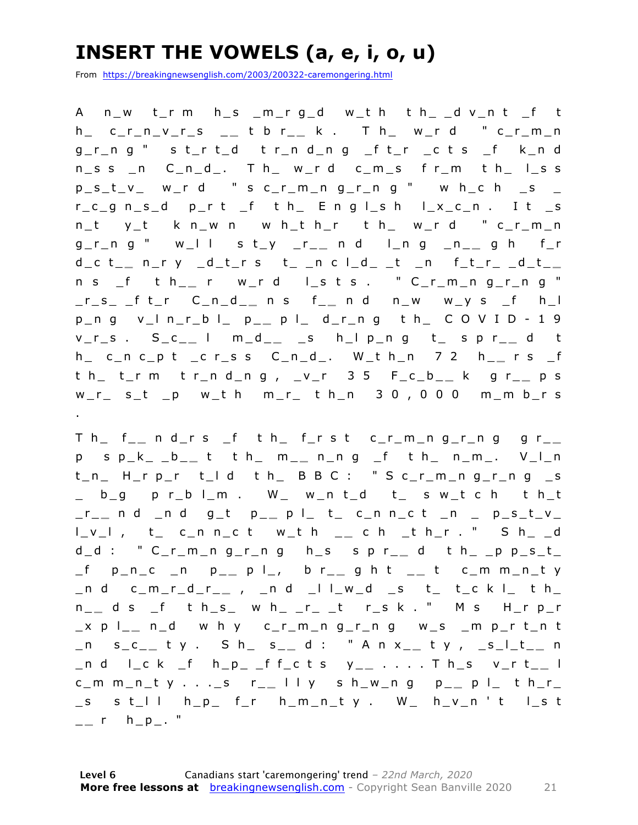### **INSERT THE VOWELS (a, e, i, o, u)**

From https://breakingnewsenglish.com/2003/200322-caremongering.html

A n\_w t\_r m h\_s \_m\_r g\_d w\_t h t h\_ \_d v\_n t \_f t h\_ c\_r\_n\_v\_r\_s \_ **\_** t b r\_ **\_** k . T h\_ w\_r d " c\_r\_m\_n g\_r\_n g " s t\_r t\_d t r\_n d\_n g \_f t\_r \_c t s \_f k\_n d  $n$ \_s s \_n  $C_n$ \_n\_d\_. T h\_ w\_r d  $c_m$ \_s f r\_m t h\_ l\_s s  $p\_s\_t\_v$  w\_r d " s c\_r\_m\_n g\_r\_n g " w h\_c h \_s \_  $r_c$  g n s d p\_r t \_f t h E n g l \_s h l \_x\_c\_n . I t \_s n\_t y\_t k n\_w n w h\_t h\_r t h\_ w\_r d " c\_r\_m\_n g\_r\_n g " w\_l l s t\_y \_r\_ **\_** n d l\_n g \_n\_ **\_** g h f\_r d\_c t\_ **\_** n\_r y \_d\_t\_r s t\_ \_n c l\_d\_ \_t \_n f\_t\_r\_ \_d\_t\_ **\_**  n s \_f t h\_ **\_** r w\_r d l\_s t s . " C\_r\_m \_n g\_r\_n g " \_r\_s\_ \_f t\_r C\_n\_d\_ **\_** n s f\_ **\_** n d n\_w w\_y s \_f h\_l p\_n g v\_l n\_r\_b l\_ p\_ **\_** p l\_ d\_r\_n g t h\_ C O V I D - 1 9 v\_r\_s . S\_c\_ **\_** l m\_d\_ **\_** \_s h\_l p\_n g t\_ s p r\_ **\_** d t h\_ c\_n c\_p t \_c r\_s s C\_n\_d\_. W\_t h\_n 7 2 h \_ **\_** r s \_f t h\_ t\_r m t r\_n d\_n g , \_v\_r 3 5 F\_c\_b\_ **\_** k g r\_ **\_** p s w\_r\_ s\_t \_p w\_t h m\_r\_ t h\_n 3 0 , 0 0 0 m\_m b\_r s .

T h\_ f\_ **\_** n d\_r s \_f t h\_ f\_r s t c\_r\_m\_n g\_r\_n g g r\_ **\_**  p s p\_k\_ \_b\_ **\_** t t h\_ m\_ **\_** n\_n g \_f t h\_ n\_m\_. V\_l\_n t\_n\_ H\_r p\_r t\_l d t h\_ B B C : " S c\_r\_m\_n g\_r\_n g \_s \_ b\_g p r\_b l\_m . W\_ w\_n t\_d t\_ s w\_t c h t h\_t \_r\_ **\_** n d \_n d g\_t p\_ **\_** p l\_ t\_ c\_n n\_c t \_n \_ p\_s\_t\_v\_ l\_v\_l , t\_ c\_n n\_c t w\_t h \_ **\_** c h \_t h\_r . " S h\_ \_d d\_d : " C\_r\_m\_n g\_r\_n g h\_s s p r\_ **\_** d t h\_ \_p p\_s\_t\_ \_f p\_n\_c \_n p\_ **\_** p l\_, b r\_ **\_** g h t \_ **\_** t c\_m m\_n\_t y \_n d c\_m\_r\_d\_r\_ **\_** , \_n d \_l l\_w\_d \_s t\_ t\_c k l\_ t h\_ n \_ **\_** d s \_f t h\_s\_ w h\_ \_r\_ \_t r\_s k . " M s H\_r p\_ r \_x p l\_ **\_** n\_d w h y c\_r\_m\_n g\_r\_n g w\_s \_m p\_r t\_n t \_n s\_c\_ **\_** t y . S h\_ s\_ **\_** d : " A n x\_ **\_** t y , \_s\_l\_t\_ **\_** n \_n d l\_c k \_f h\_p\_ \_f f\_c t s y\_ **\_** . . . . T h\_s v\_r t\_ **\_** l c\_m m\_n\_t y . . .\_s r\_ **\_** l l y s h\_w\_n g p\_ **\_** p l\_ t h\_ r\_ \_s s t\_l l h\_p\_ f\_r h\_m\_n\_t y . W\_ h\_v\_n ' t l\_s t \_ **\_** r h\_p\_. "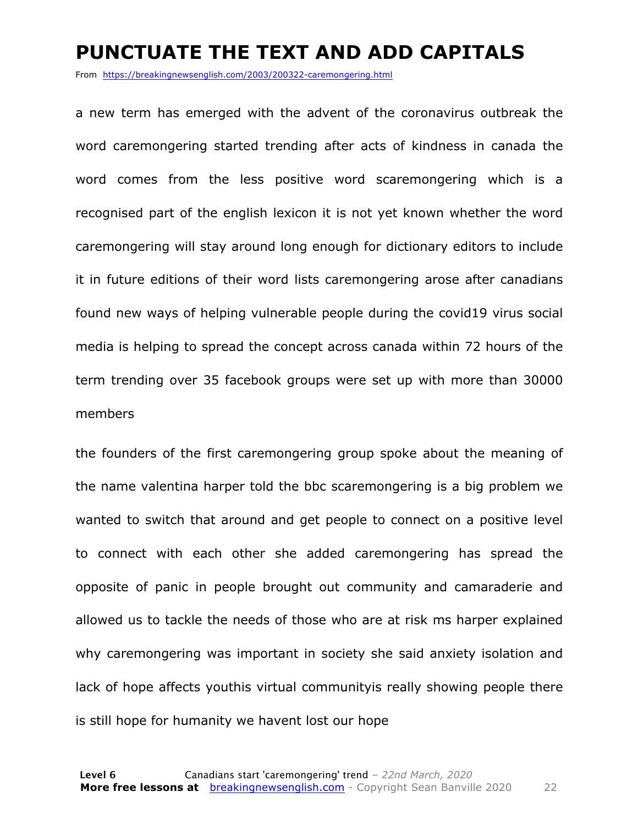#### **PUNCTUATE THE TEXT AND ADD CAPITALS**

From https://breakingnewsenglish.com/2003/200322-caremongering.html

a new term has emerged with the advent of the coronavirus outbreak the word caremongering started trending after acts of kindness in canada the word comes from the less positive word scaremongering which is a recognised part of the english lexicon it is not yet known whether the word caremongering will stay around long enough for dictionary editors to include it in future editions of their word lists caremongering arose after canadians found new ways of helping vulnerable people during the covid19 virus social media is helping to spread the concept across canada within 72 hours of the term trending over 35 facebook groups were set up with more than 30000 members

the founders of the first caremongering group spoke about the meaning of the name valentina harper told the bbc scaremongering is a big problem we wanted to switch that around and get people to connect on a positive level to connect with each other she added caremongering has spread the opposite of panic in people brought out community and camaraderie and allowed us to tackle the needs of those who are at risk ms harper explained why caremongering was important in society she said anxiety isolation and lack of hope affects youthis virtual communityis really showing people there is still hope for humanity we havent lost our hope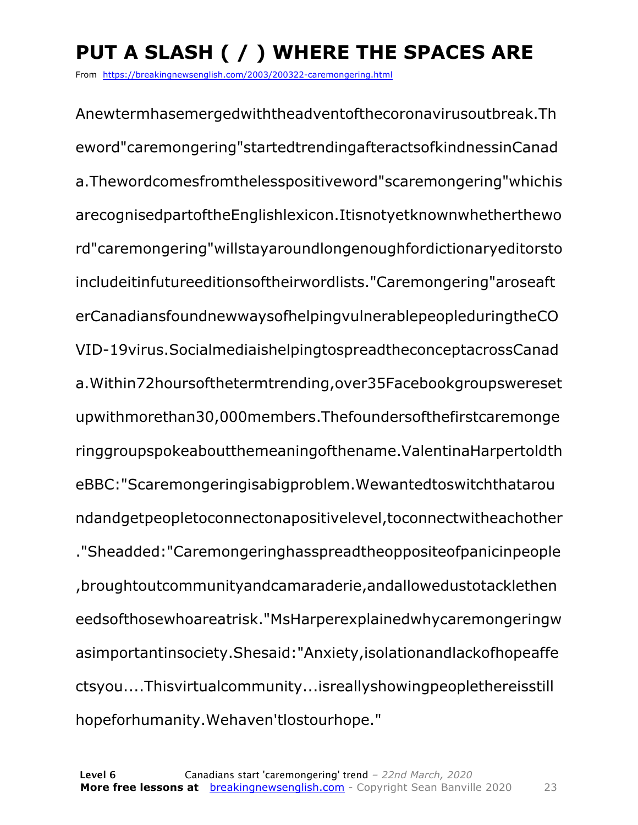### **PUT A SLASH ( / ) WHERE THE SPACES ARE**

From https://breakingnewsenglish.com/2003/200322-caremongering.html

Anewtermhasemergedwiththeadventofthecoronavirusoutbreak.Th eword"caremongering"startedtrendingafteractsofkindnessinCanad a.Thewordcomesfromthelesspositiveword"scaremongering"whichis arecognisedpartoftheEnglishlexicon.Itisnotyetknownwhetherthewo rd"caremongering"willstayaroundlongenoughfordictionaryeditorsto includeitinfutureeditionsoftheirwordlists."Caremongering"aroseaft erCanadiansfoundnewwaysofhelpingvulnerablepeopleduringtheCO VID-19virus.SocialmediaishelpingtospreadtheconceptacrossCanad a.Within72hoursofthetermtrending,over35Facebookgroupswereset upwithmorethan30,000members.Thefoundersofthefirstcaremonge ringgroupspokeaboutthemeaningofthename.ValentinaHarpertoldth eBBC:"Scaremongeringisabigproblem.Wewantedtoswitchthatarou ndandgetpeopletoconnectonapositivelevel,toconnectwitheachother ."Sheadded:"Caremongeringhasspreadtheoppositeofpanicinpeople ,broughtoutcommunityandcamaraderie,andallowedustotacklethen eedsofthosewhoareatrisk."MsHarperexplainedwhycaremongeringw asimportantinsociety.Shesaid:"Anxiety,isolationandlackofhopeaffe ctsyou....Thisvirtualcommunity...isreallyshowingpeoplethereisstill hopeforhumanity.Wehaven'tlostourhope."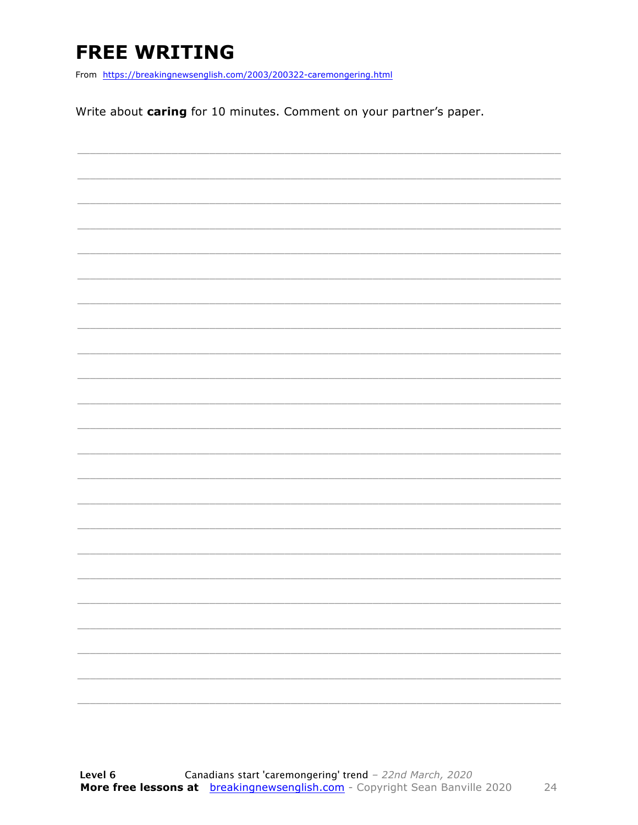### **FREE WRITING**

From https://breakingnewsenglish.com/2003/200322-caremongering.html

Write about caring for 10 minutes. Comment on your partner's paper.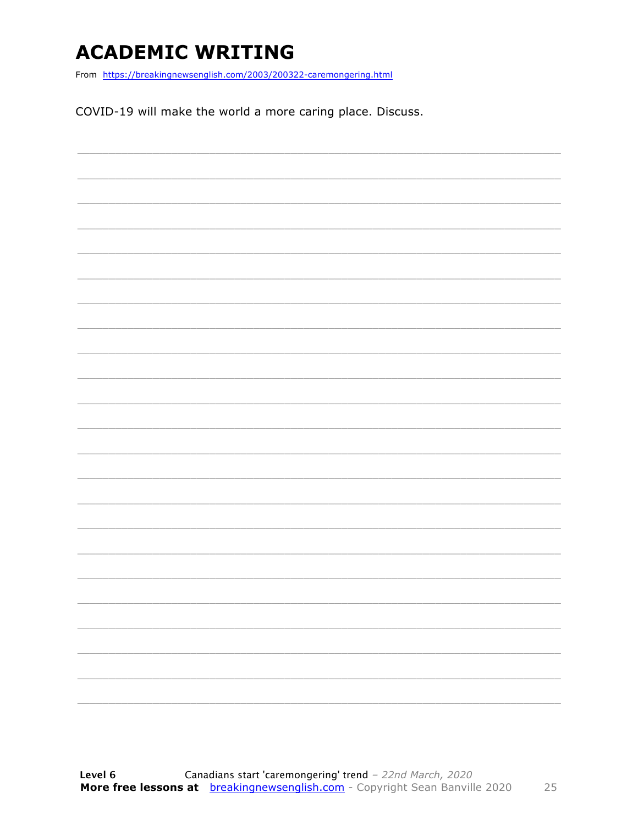### **ACADEMIC WRITING**

From https://breakingnewsenglish.com/2003/200322-caremongering.html

COVID-19 will make the world a more caring place. Discuss.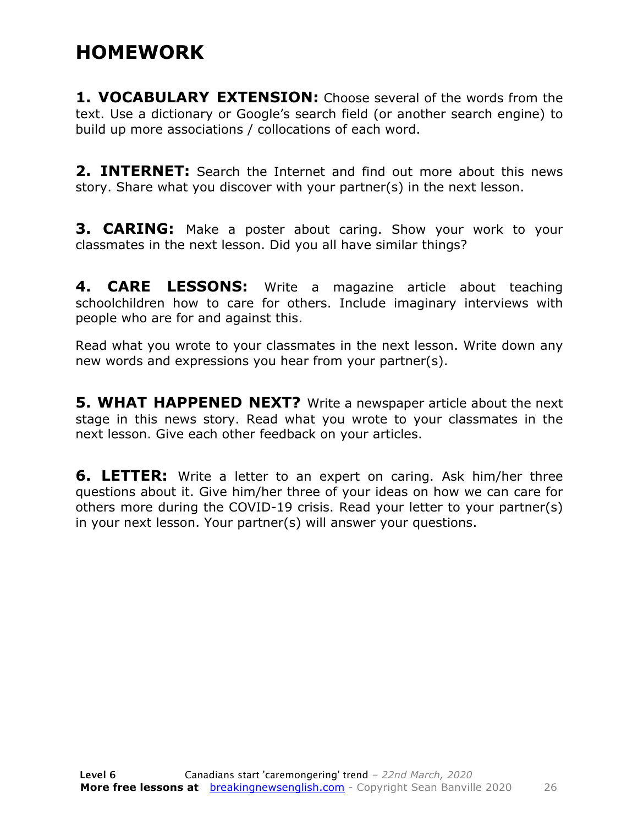#### **HOMEWORK**

**1. VOCABULARY EXTENSION:** Choose several of the words from the text. Use a dictionary or Google's search field (or another search engine) to build up more associations / collocations of each word.

**2. INTERNET:** Search the Internet and find out more about this news story. Share what you discover with your partner(s) in the next lesson.

**3. CARING:** Make a poster about caring. Show your work to your classmates in the next lesson. Did you all have similar things?

**4. CARE LESSONS:** Write a magazine article about teaching schoolchildren how to care for others. Include imaginary interviews with people who are for and against this.

Read what you wrote to your classmates in the next lesson. Write down any new words and expressions you hear from your partner(s).

**5. WHAT HAPPENED NEXT?** Write a newspaper article about the next stage in this news story. Read what you wrote to your classmates in the next lesson. Give each other feedback on your articles.

**6. LETTER:** Write a letter to an expert on caring. Ask him/her three questions about it. Give him/her three of your ideas on how we can care for others more during the COVID-19 crisis. Read your letter to your partner(s) in your next lesson. Your partner(s) will answer your questions.